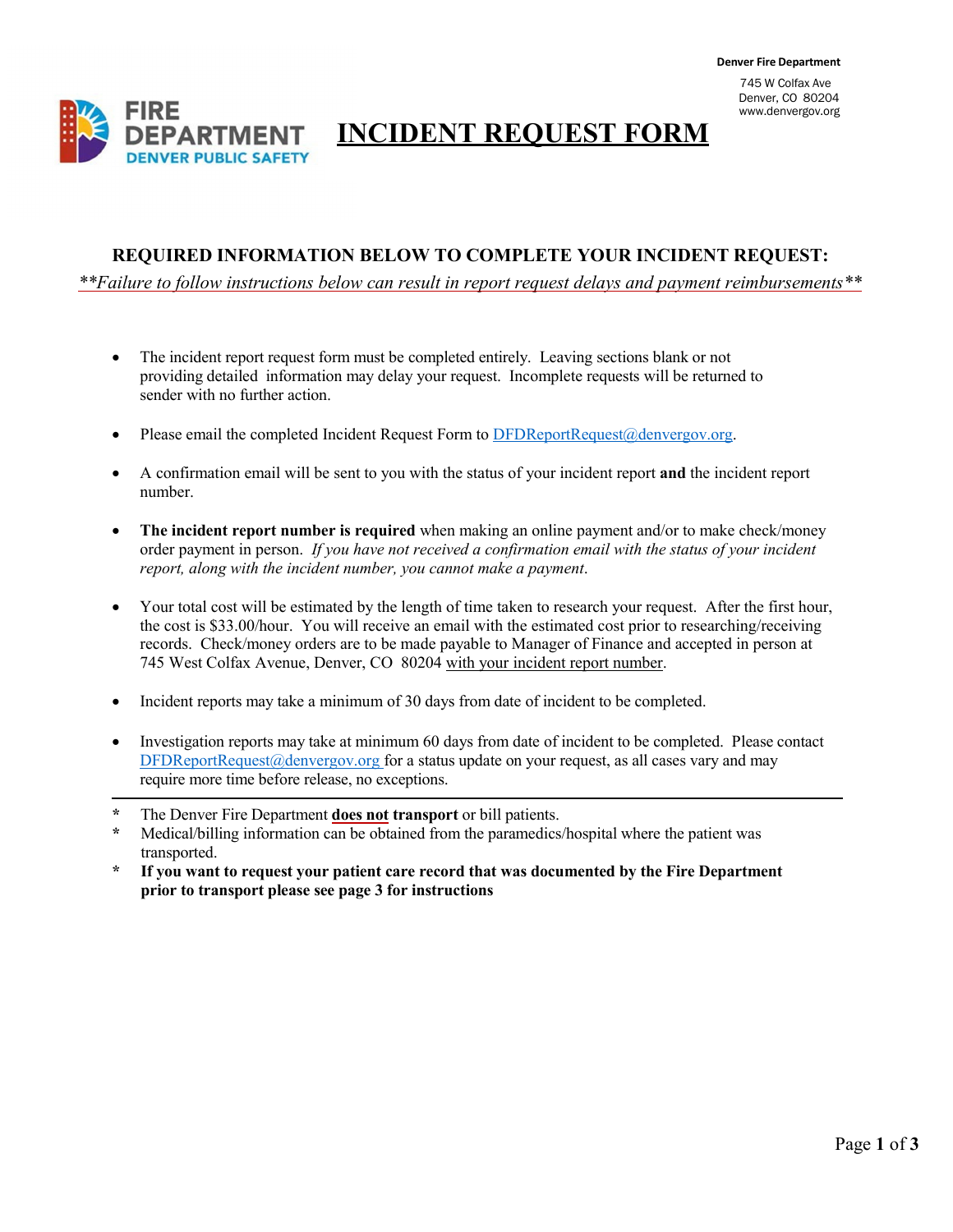Denver, CO 80204 [www.denvergov.org](http://www.denvergov.org/)

## **INCIDENT REQUEST FORM**

#### **REQUIRED INFORMATION BELOW TO COMPLETE YOUR INCIDENT REQUEST:**

 *\*\*Failure to follow instructions below can result in report request delays and payment reimbursements\*\**

- The incident report request form must be completed entirely. Leaving sections blank or not providing detailed information may delay your request. Incomplete requests will be returned to sender with no further action.
- Please email the completed Incident Request Form to [DFDReportRequest@denvergov.org.](mailto:DFDReportRequest@denvergov.org)
- A confirmation email will be sent to you with the status of your incident report **and** the incident report number.
- **The incident report number is required** when making an online payment and/or to make check/money order payment in person. *If you have not received a confirmation email with the status of your incident report, along with the incident number, you cannot make a payment*.
- Your total cost will be estimated by the length of time taken to research your request. After the first hour, the cost is \$33.00/hour. You will receive an email with the estimated cost prior to researching/receiving records. Check/money orders are to be made payable to Manager of Finance and accepted in person at 745 West Colfax Avenue, Denver, CO 80204 with your incident report number.
- Incident reports may take a minimum of 30 days from date of incident to be completed.
- Investigation reports may take at minimum 60 days from date of incident to be completed. Please contact [DFDReportRequest@denvergov.org](mailto:DFDReportRequest@denvergov.org) for a status update on your request, as all cases vary and may require more time before release, no exceptions.
- **\*** The Denver Fire Department **does not transport** or bill patients.
- **\*** Medical/billing information can be obtained from the paramedics/hospital where the patient was transported.
- **\* If you want to request your patient care record that was documented by the Fire Department prior to transport please see page 3 for instructions**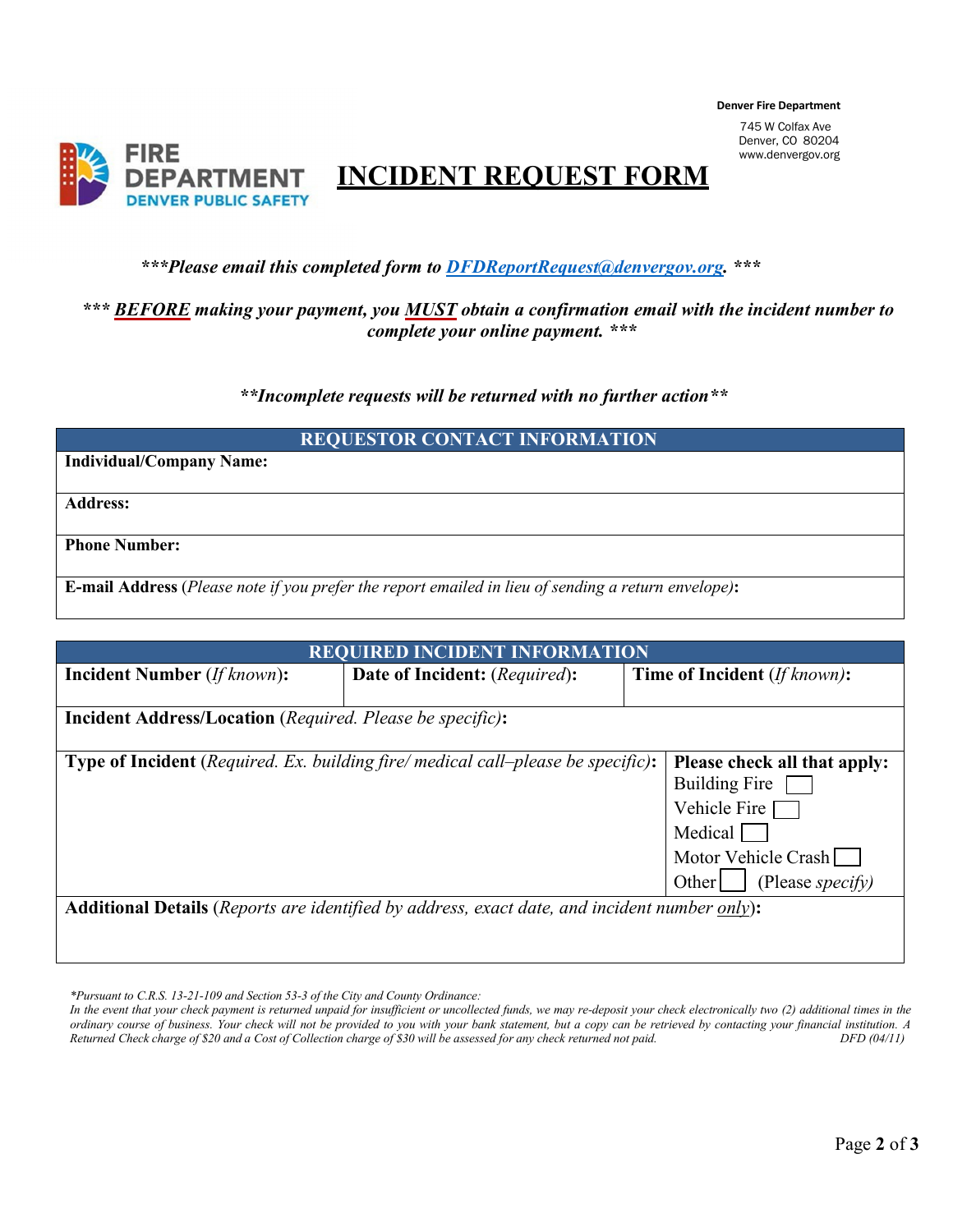**Denver Fire Department** 745 W Colfax Ave

Denver, CO 80204 [www.denvergov.org](http://www.denvergov.org/)



*\*\*\*Please email this completed form to [DFDReportRequest@denvergov.org.](mailto:DFDReportRequest@denvergov.org) \*\*\**

#### *\*\*\* BEFORE making your payment, you MUST obtain a confirmation email with the incident number to complete your online payment. \*\*\**

 *\*\*Incomplete requests will be returned with no further action\*\**

|  | <b>REQUESTOR CONTACT INFORMATION</b> |  |
|--|--------------------------------------|--|
|  |                                      |  |

**Individual/Company Name:**

**Address:**

**Phone Number:**

**E-mail Address** (Please note if you prefer the report emailed in lieu of sending a return envelope):

| <b>REQUIRED INCIDENT INFORMATION</b>                                                                             |                                               |                                     |  |  |  |
|------------------------------------------------------------------------------------------------------------------|-----------------------------------------------|-------------------------------------|--|--|--|
| <b>Incident Number</b> ( <i>If known</i> ):                                                                      | <b>Date of Incident:</b> ( <i>Required</i> ): | <b>Time of Incident</b> (If known): |  |  |  |
|                                                                                                                  |                                               |                                     |  |  |  |
| <b>Incident Address/Location</b> (Required. Please be specific):                                                 |                                               |                                     |  |  |  |
|                                                                                                                  |                                               |                                     |  |  |  |
| Type of Incident (Required. Ex. building fire/ medical call–please be specific):<br>Please check all that apply: |                                               |                                     |  |  |  |
|                                                                                                                  | Building Fire                                 |                                     |  |  |  |
|                                                                                                                  | Vehicle Fire                                  |                                     |  |  |  |
|                                                                                                                  |                                               | Medical                             |  |  |  |
|                                                                                                                  |                                               | Motor Vehicle Crash                 |  |  |  |
|                                                                                                                  |                                               | (Please specify)<br>Other           |  |  |  |
| <b>Additional Details</b> ( <i>Reports are identified by address, exact date, and incident number only</i> ):    |                                               |                                     |  |  |  |
|                                                                                                                  |                                               |                                     |  |  |  |
|                                                                                                                  |                                               |                                     |  |  |  |

*\*Pursuant to C.R.S. 13-21-109 and Section 53-3 of the City and County Ordinance:*

In the event that your check payment is returned unpaid for insufficient or uncollected funds, we may re-deposit your check electronically two (2) additional times in the ordinary course of business. Your check will not be provided to you with your bank statement, but a copy can be retrieved by contacting your financial institution. A Returned Check charge of \$20 and a Cost of Collection ch *Returned Check charge of \$20 and a Cost of Collection charge of \$30 will be assessed for any check returned not paid. DFD (04/11)*